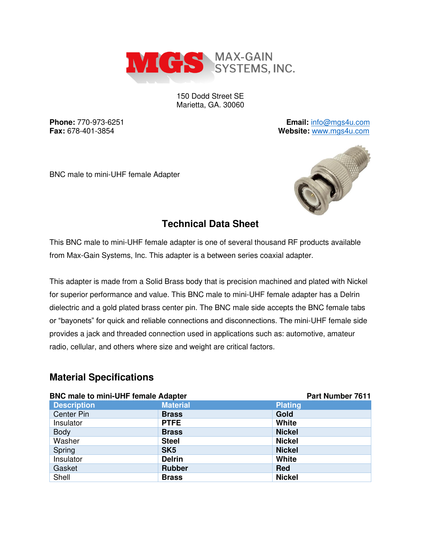

150 Dodd Street SE Marietta, GA. 30060

**Phone:** 770-973-6251 **Email:** [info@mgs4u.com](mailto:info@mgs4u.com) **Fax:** 678-401-3854 **Website:** [www.mgs4u.com](http://www.mgs4u.com/)

BNC male to mini-UHF female Adapter



## **Technical Data Sheet**

This BNC male to mini-UHF female adapter is one of several thousand RF products available from Max-Gain Systems, Inc. This adapter is a between series coaxial adapter.

This adapter is made from a Solid Brass body that is precision machined and plated with Nickel for superior performance and value. This BNC male to mini-UHF female adapter has a Delrin dielectric and a gold plated brass center pin. The BNC male side accepts the BNC female tabs or "bayonets" for quick and reliable connections and disconnections. The mini-UHF female side provides a jack and threaded connection used in applications such as: automotive, amateur radio, cellular, and others where size and weight are critical factors.

## **Material Specifications**

| <b>BNC male to mini-UHF female Adapter</b> |                 | Part Number 7611 |
|--------------------------------------------|-----------------|------------------|
| <b>Description</b>                         | <b>Material</b> | <b>Plating</b>   |
| <b>Center Pin</b>                          | <b>Brass</b>    | Gold             |
| Insulator                                  | <b>PTFE</b>     | White            |
| <b>Body</b>                                | <b>Brass</b>    | <b>Nickel</b>    |
| Washer                                     | <b>Steel</b>    | <b>Nickel</b>    |
| Spring                                     | SK <sub>5</sub> | <b>Nickel</b>    |
| Insulator                                  | <b>Delrin</b>   | White            |
| Gasket                                     | <b>Rubber</b>   | <b>Red</b>       |
| Shell                                      | <b>Brass</b>    | <b>Nickel</b>    |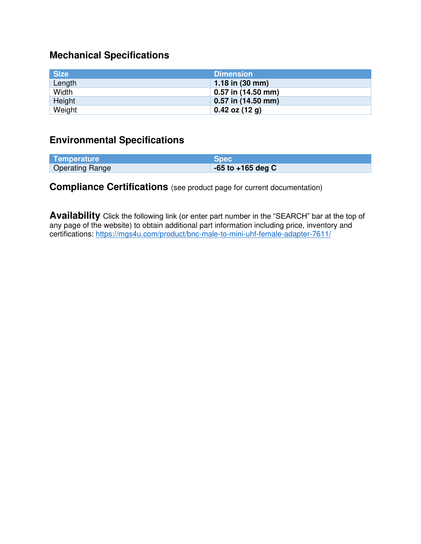# **Mechanical Specifications**

| <b>Size</b> | <b>Dimension</b>          |
|-------------|---------------------------|
| Length      | 1.18 in $(30 \text{ mm})$ |
| Width       | 0.57 in (14.50 mm)        |
| Height      | 0.57 in (14.50 mm)        |
| Weight      | $0.42$ oz (12 g)          |

#### **Environmental Specifications**

| Temperature            | <b>Spec</b>           |
|------------------------|-----------------------|
| <b>Operating Range</b> | $-65$ to $+165$ deg C |

## **Compliance Certifications** (see product page for current documentation)

**Availability** Click the following link (or enter part number in the "SEARCH" bar at the top of any page of the website) to obtain additional part information including price, inventory and certifications:<https://mgs4u.com/product/bnc-male-to-mini-uhf-female-adapter-7611/>